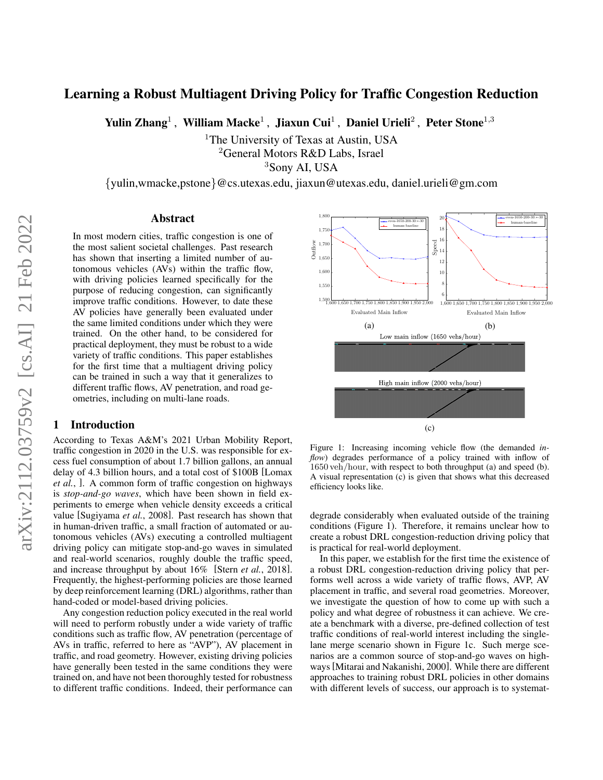# Learning a Robust Multiagent Driving Policy for Traffic Congestion Reduction

Yulin Zhang<sup>1</sup>, William Macke<sup>1</sup>, Jiaxun Cui<sup>1</sup>, Daniel Urieli<sup>2</sup>, Peter Stone<sup>1,3</sup>

<sup>1</sup>The University of Texas at Austin, USA <sup>2</sup>General Motors R&D Labs, Israel <sup>3</sup>Sony AI, USA

{yulin,wmacke,pstone}@cs.utexas.edu, jiaxun@utexas.edu, daniel.urieli@gm.com

#### Abstract

In most modern cities, traffic congestion is one of the most salient societal challenges. Past research has shown that inserting a limited number of autonomous vehicles (AVs) within the traffic flow, with driving policies learned specifically for the purpose of reducing congestion, can significantly improve traffic conditions. However, to date these AV policies have generally been evaluated under the same limited conditions under which they were trained. On the other hand, to be considered for practical deployment, they must be robust to a wide variety of traffic conditions. This paper establishes for the first time that a multiagent driving policy can be trained in such a way that it generalizes to different traffic flows, AV penetration, and road geometries, including on multi-lane roads.

#### 1 Introduction

According to Texas A&M's 2021 Urban Mobility Report, traffic congestion in 2020 in the U.S. was responsible for excess fuel consumption of about 1.7 billion gallons, an annual delay of 4.3 billion hours, and a total cost of \$100B [\[Lomax](#page-6-0) *[et al.](#page-6-0)*, ]. A common form of traffic congestion on highways is *stop-and-go waves*, which have been shown in field experiments to emerge when vehicle density exceeds a critical value [\[Sugiyama](#page-6-1) *et al.*, 2008]. Past research has shown that in human-driven traffic, a small fraction of automated or autonomous vehicles (AVs) executing a controlled multiagent driving policy can mitigate stop-and-go waves in simulated and real-world scenarios, roughly double the traffic speed, and increase throughput by about 16% [Stern *et al.*[, 2018\]](#page-6-2). Frequently, the highest-performing policies are those learned by deep reinforcement learning (DRL) algorithms, rather than hand-coded or model-based driving policies.

Any congestion reduction policy executed in the real world will need to perform robustly under a wide variety of traffic conditions such as traffic flow, AV penetration (percentage of AVs in traffic, referred to here as "AVP"), AV placement in traffic, and road geometry. However, existing driving policies have generally been tested in the same conditions they were trained on, and have not been thoroughly tested for robustness to different traffic conditions. Indeed, their performance can

<span id="page-0-0"></span>

Figure 1: Increasing incoming vehicle flow (the demanded *inflow*) degrades performance of a policy trained with inflow of 1650 veh/hour, with respect to both throughput (a) and speed (b). A visual representation (c) is given that shows what this decreased efficiency looks like.

degrade considerably when evaluated outside of the training conditions (Figure [1\)](#page-0-0). Therefore, it remains unclear how to create a robust DRL congestion-reduction driving policy that is practical for real-world deployment.

In this paper, we establish for the first time the existence of a robust DRL congestion-reduction driving policy that performs well across a wide variety of traffic flows, AVP, AV placement in traffic, and several road geometries. Moreover, we investigate the question of how to come up with such a policy and what degree of robustness it can achieve. We create a benchmark with a diverse, pre-defined collection of test traffic conditions of real-world interest including the singlelane merge scenario shown in Figure [1c.](#page-0-0) Such merge scenarios are a common source of stop-and-go waves on highways[\[Mitarai and Nakanishi, 2000\]](#page-6-3). While there are different approaches to training robust DRL policies in other domains with different levels of success, our approach is to systemat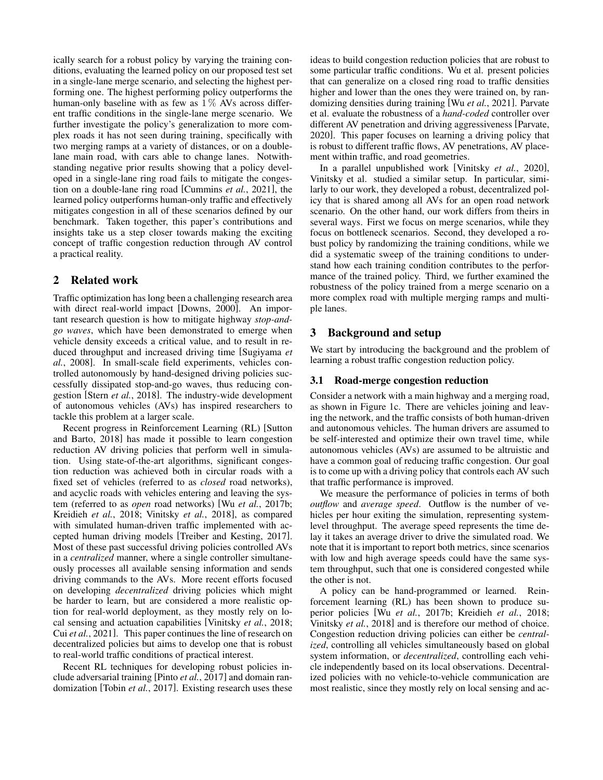ically search for a robust policy by varying the training conditions, evaluating the learned policy on our proposed test set in a single-lane merge scenario, and selecting the highest performing one. The highest performing policy outperforms the human-only baseline with as few as  $1\%$  AVs across different traffic conditions in the single-lane merge scenario. We further investigate the policy's generalization to more complex roads it has not seen during training, specifically with two merging ramps at a variety of distances, or on a doublelane main road, with cars able to change lanes. Notwithstanding negative prior results showing that a policy developed in a single-lane ring road fails to mitigate the congestion on a double-lane ring road [\[Cummins](#page-6-4) *et al.*, 2021], the learned policy outperforms human-only traffic and effectively mitigates congestion in all of these scenarios defined by our benchmark. Taken together, this paper's contributions and insights take us a step closer towards making the exciting concept of traffic congestion reduction through AV control a practical reality.

## 2 Related work

Traffic optimization has long been a challenging research area with direct real-world impact [\[Downs, 2000\]](#page-6-5). An important research question is how to mitigate highway *stop-andgo waves*, which have been demonstrated to emerge when vehicle density exceeds a critical value, and to result in reduced throughput and increased driving time [\[Sugiyama](#page-6-1) *et al.*[, 2008\]](#page-6-1). In small-scale field experiments, vehicles controlled autonomously by hand-designed driving policies successfully dissipated stop-and-go waves, thus reducing congestion [Stern *et al.*[, 2018\]](#page-6-2). The industry-wide development of autonomous vehicles (AVs) has inspired researchers to tackle this problem at a larger scale.

Recent progress in Reinforcement Learning (RL) [\[Sutton](#page-6-6) [and Barto, 2018\]](#page-6-6) has made it possible to learn congestion reduction AV driving policies that perform well in simulation. Using state-of-the-art algorithms, significant congestion reduction was achieved both in circular roads with a fixed set of vehicles (referred to as *closed* road networks), and acyclic roads with vehicles entering and leaving the system (referred to as *open* road networks) [Wu *et al.*[, 2017b;](#page-6-7) [Kreidieh](#page-6-8) *et al.*, 2018; [Vinitsky](#page-6-9) *et al.*, 2018], as compared with simulated human-driven traffic implemented with accepted human driving models [\[Treiber and Kesting, 2017\]](#page-6-10). Most of these past successful driving policies controlled AVs in a *centralized* manner, where a single controller simultaneously processes all available sensing information and sends driving commands to the AVs. More recent efforts focused on developing *decentralized* driving policies which might be harder to learn, but are considered a more realistic option for real-world deployment, as they mostly rely on local sensing and actuation capabilities [\[Vinitsky](#page-6-9) *et al.*, 2018; Cui *et al.*[, 2021\]](#page-6-11). This paper continues the line of research on decentralized policies but aims to develop one that is robust to real-world traffic conditions of practical interest.

Recent RL techniques for developing robust policies include adversarial training [Pinto *et al.*[, 2017\]](#page-6-12) and domain randomization [Tobin *et al.*[, 2017\]](#page-6-13). Existing research uses these ideas to build congestion reduction policies that are robust to some particular traffic conditions. Wu et al. present policies that can generalize on a closed ring road to traffic densities higher and lower than the ones they were trained on, by randomizing densities during training [Wu *et al.*[, 2021\]](#page-6-14). Parvate et al. evaluate the robustness of a *hand-coded* controller over different AV penetration and driving aggressiveness [\[Parvate,](#page-6-15) [2020\]](#page-6-15). This paper focuses on learning a driving policy that is robust to different traffic flows, AV penetrations, AV placement within traffic, and road geometries.

In a parallel unpublished work [\[Vinitsky](#page-6-16) *et al.*, 2020], Vinitsky et al. studied a similar setup. In particular, similarly to our work, they developed a robust, decentralized policy that is shared among all AVs for an open road network scenario. On the other hand, our work differs from theirs in several ways. First we focus on merge scenarios, while they focus on bottleneck scenarios. Second, they developed a robust policy by randomizing the training conditions, while we did a systematic sweep of the training conditions to understand how each training condition contributes to the performance of the trained policy. Third, we further examined the robustness of the policy trained from a merge scenario on a more complex road with multiple merging ramps and multiple lanes.

## 3 Background and setup

We start by introducing the background and the problem of learning a robust traffic congestion reduction policy.

### 3.1 Road-merge congestion reduction

Consider a network with a main highway and a merging road, as shown in Figure [1c.](#page-0-0) There are vehicles joining and leaving the network, and the traffic consists of both human-driven and autonomous vehicles. The human drivers are assumed to be self-interested and optimize their own travel time, while autonomous vehicles (AVs) are assumed to be altruistic and have a common goal of reducing traffic congestion. Our goal is to come up with a driving policy that controls each AV such that traffic performance is improved.

We measure the performance of policies in terms of both *outflow* and *average speed*. Outflow is the number of vehicles per hour exiting the simulation, representing systemlevel throughput. The average speed represents the time delay it takes an average driver to drive the simulated road. We note that it is important to report both metrics, since scenarios with low and high average speeds could have the same system throughput, such that one is considered congested while the other is not.

A policy can be hand-programmed or learned. Reinforcement learning (RL) has been shown to produce superior policies [Wu *et al.*[, 2017b;](#page-6-7) [Kreidieh](#page-6-8) *et al.*, 2018; [Vinitsky](#page-6-9) *et al.*, 2018] and is therefore our method of choice. Congestion reduction driving policies can either be *centralized*, controlling all vehicles simultaneously based on global system information, or *decentralized*, controlling each vehicle independently based on its local observations. Decentralized policies with no vehicle-to-vehicle communication are most realistic, since they mostly rely on local sensing and ac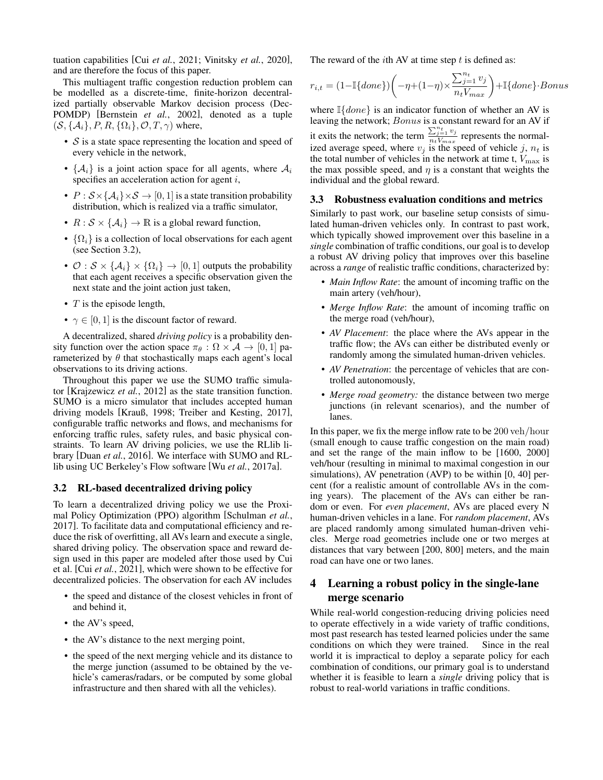tuation capabilities [Cui *et al.*[, 2021;](#page-6-11) [Vinitsky](#page-6-16) *et al.*, 2020], and are therefore the focus of this paper.

This multiagent traffic congestion reduction problem can be modelled as a discrete-time, finite-horizon decentralized partially observable Markov decision process (Dec-POMDP) [\[Bernstein](#page-6-17) *et al.*, 2002], denoted as a tuple  $(S, \{A_i\}, P, R, \{\Omega_i\}, \mathcal{O}, T, \gamma)$  where,

- $S$  is a state space representing the location and speed of every vehicle in the network,
- $\{A_i\}$  is a joint action space for all agents, where  $A_i$ specifies an acceleration action for agent i,
- $P : S \times \{A_i\} \times S \rightarrow [0, 1]$  is a state transition probability distribution, which is realized via a traffic simulator,
- $R : \mathcal{S} \times \{ \mathcal{A}_i \} \to \mathbb{R}$  is a global reward function,
- $\{\Omega_i\}$  is a collection of local observations for each agent (see Section [3.2\)](#page-2-0),
- $\mathcal{O}: \mathcal{S} \times \{A_i\} \times \{\Omega_i\} \to [0, 1]$  outputs the probability that each agent receives a specific observation given the next state and the joint action just taken,
- $T$  is the episode length,
- $\gamma \in [0, 1]$  is the discount factor of reward.

A decentralized, shared *driving policy* is a probability density function over the action space  $\pi_{\theta} : \Omega \times \mathcal{A} \rightarrow [0, 1]$  parameterized by  $\theta$  that stochastically maps each agent's local observations to its driving actions.

Throughout this paper we use the SUMO traffic simulator [\[Krajzewicz](#page-6-18) *et al.*, 2012] as the state transition function. SUMO is a micro simulator that includes accepted human driving models [\[Krauß, 1998;](#page-6-19) [Treiber and Kesting, 2017\]](#page-6-10), configurable traffic networks and flows, and mechanisms for enforcing traffic rules, safety rules, and basic physical constraints. To learn AV driving policies, we use the RLlib library [Duan *et al.*[, 2016\]](#page-6-20). We interface with SUMO and RLlib using UC Berkeley's Flow software [Wu *et al.*[, 2017a\]](#page-6-21).

#### <span id="page-2-0"></span>3.2 RL-based decentralized driving policy

To learn a decentralized driving policy we use the Proximal Policy Optimization (PPO) algorithm [\[Schulman](#page-6-22) *et al.*, [2017\]](#page-6-22). To facilitate data and computational efficiency and reduce the risk of overfitting, all AVs learn and execute a single, shared driving policy. The observation space and reward design used in this paper are modeled after those used by Cui et al. [Cui *et al.*[, 2021\]](#page-6-11), which were shown to be effective for decentralized policies. The observation for each AV includes

- the speed and distance of the closest vehicles in front of and behind it,
- the AV's speed,
- the AV's distance to the next merging point,
- the speed of the next merging vehicle and its distance to the merge junction (assumed to be obtained by the vehicle's cameras/radars, or be computed by some global infrastructure and then shared with all the vehicles).

The reward of the *i*th AV at time step  $t$  is defined as:

$$
r_{i,t} = (1-\mathbb{I}\{done\})\bigg(-\eta + (1-\eta)\times \frac{\sum_{j=1}^{n_t} v_j}{n_t V_{max}}\bigg) + \mathbb{I}\{done\}\cdot Bonus
$$

where  $\mathbb{I} \{ done\}$  is an indicator function of whether an AV is leaving the network; Bonus is a constant reward for an AV if it exits the network; the term  $\frac{\sum_{j=1}^{n_t} v_j}{n_t V}$  $\frac{\sum_{j=1}^{n} v_j}{n_t V_{max}}$  represents the normalized average speed, where  $v_j$  is the speed of vehicle j,  $n_t$  is the total number of vehicles in the network at time t,  $V_{\text{max}}$  is the max possible speed, and  $\eta$  is a constant that weights the individual and the global reward.

#### <span id="page-2-1"></span>3.3 Robustness evaluation conditions and metrics

Similarly to past work, our baseline setup consists of simulated human-driven vehicles only. In contrast to past work, which typically showed improvement over this baseline in a *single* combination of traffic conditions, our goal is to develop a robust AV driving policy that improves over this baseline across a *range* of realistic traffic conditions, characterized by:

- *Main Inflow Rate*: the amount of incoming traffic on the main artery (veh/hour),
- *Merge Inflow Rate*: the amount of incoming traffic on the merge road (veh/hour),
- *AV Placement*: the place where the AVs appear in the traffic flow; the AVs can either be distributed evenly or randomly among the simulated human-driven vehicles.
- *AV Penetration*: the percentage of vehicles that are controlled autonomously,
- *Merge road geometry:* the distance between two merge junctions (in relevant scenarios), and the number of lanes.

In this paper, we fix the merge inflow rate to be 200 veh/hour (small enough to cause traffic congestion on the main road) and set the range of the main inflow to be [1600, 2000] veh/hour (resulting in minimal to maximal congestion in our simulations), AV penetration (AVP) to be within [0, 40] percent (for a realistic amount of controllable AVs in the coming years). The placement of the AVs can either be random or even. For *even placement*, AVs are placed every N human-driven vehicles in a lane. For *random placement*, AVs are placed randomly among simulated human-driven vehicles. Merge road geometries include one or two merges at distances that vary between [200, 800] meters, and the main road can have one or two lanes.

# 4 Learning a robust policy in the single-lane merge scenario

While real-world congestion-reducing driving policies need to operate effectively in a wide variety of traffic conditions, most past research has tested learned policies under the same conditions on which they were trained. Since in the real world it is impractical to deploy a separate policy for each combination of conditions, our primary goal is to understand whether it is feasible to learn a *single* driving policy that is robust to real-world variations in traffic conditions.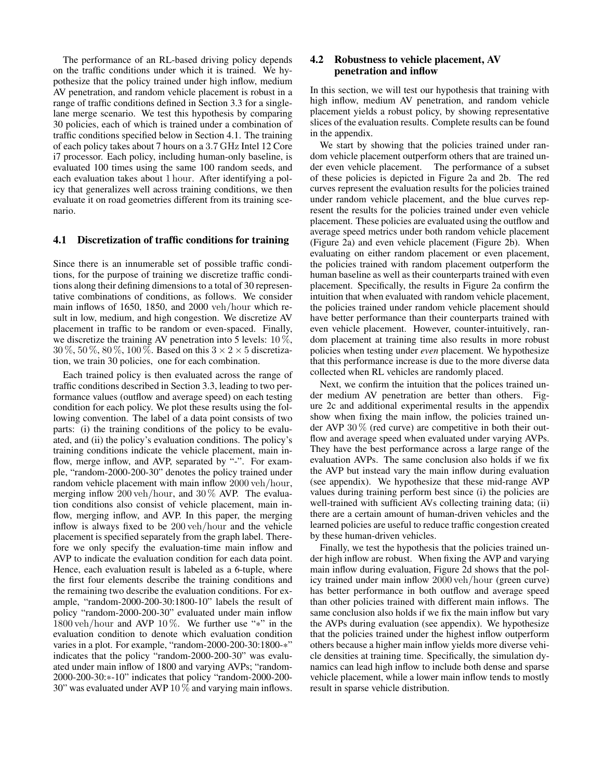The performance of an RL-based driving policy depends on the traffic conditions under which it is trained. We hypothesize that the policy trained under high inflow, medium AV penetration, and random vehicle placement is robust in a range of traffic conditions defined in Section [3.3](#page-2-1) for a singlelane merge scenario. We test this hypothesis by comparing 30 policies, each of which is trained under a combination of traffic conditions specified below in Section [4.1.](#page-3-0) The training of each policy takes about 7 hours on a 3.7 GHz Intel 12 Core i7 processor. Each policy, including human-only baseline, is evaluated 100 times using the same 100 random seeds, and each evaluation takes about 1 hour. After identifying a policy that generalizes well across training conditions, we then evaluate it on road geometries different from its training scenario.

#### <span id="page-3-0"></span>4.1 Discretization of traffic conditions for training

Since there is an innumerable set of possible traffic conditions, for the purpose of training we discretize traffic conditions along their defining dimensions to a total of 30 representative combinations of conditions, as follows. We consider main inflows of 1650, 1850, and 2000 veh/hour which result in low, medium, and high congestion. We discretize AV placement in traffic to be random or even-spaced. Finally, we discretize the training AV penetration into 5 levels: 10 %,  $30\%, 50\%, 80\%, 100\%$ . Based on this  $3 \times 2 \times 5$  discretization, we train 30 policies, one for each combination.

Each trained policy is then evaluated across the range of traffic conditions described in Section [3.3,](#page-2-1) leading to two performance values (outflow and average speed) on each testing condition for each policy. We plot these results using the following convention. The label of a data point consists of two parts: (i) the training conditions of the policy to be evaluated, and (ii) the policy's evaluation conditions. The policy's training conditions indicate the vehicle placement, main inflow, merge inflow, and AVP, separated by "-". For example, "random-2000-200-30" denotes the policy trained under random vehicle placement with main inflow 2000 veh/hour, merging inflow 200 veh/hour, and  $30\%$  AVP. The evaluation conditions also consist of vehicle placement, main inflow, merging inflow, and AVP. In this paper, the merging inflow is always fixed to be 200 veh/hour and the vehicle placement is specified separately from the graph label. Therefore we only specify the evaluation-time main inflow and AVP to indicate the evaluation condition for each data point. Hence, each evaluation result is labeled as a 6-tuple, where the first four elements describe the training conditions and the remaining two describe the evaluation conditions. For example, "random-2000-200-30:1800-10" labels the result of policy "random-2000-200-30" evaluated under main inflow  $1800$  veh/hour and AVP  $10\%$ . We further use "\*" in the evaluation condition to denote which evaluation condition varies in a plot. For example, "random-2000-200-30:1800-\*" indicates that the policy "random-2000-200-30" was evaluated under main inflow of 1800 and varying AVPs; "random-2000-200-30:\*-10" indicates that policy "random-2000-200- 30" was evaluated under AVP 10 % and varying main inflows.

### 4.2 Robustness to vehicle placement, AV penetration and inflow

In this section, we will test our hypothesis that training with high inflow, medium AV penetration, and random vehicle placement yields a robust policy, by showing representative slices of the evaluation results. Complete results can be found in the appendix.

We start by showing that the policies trained under random vehicle placement outperform others that are trained under even vehicle placement. The performance of a subset of these policies is depicted in Figure [2a](#page-4-0) and [2b.](#page-4-0) The red curves represent the evaluation results for the policies trained under random vehicle placement, and the blue curves represent the results for the policies trained under even vehicle placement. These policies are evaluated using the outflow and average speed metrics under both random vehicle placement (Figure [2a\)](#page-4-0) and even vehicle placement (Figure [2b\)](#page-4-0). When evaluating on either random placement or even placement, the policies trained with random placement outperform the human baseline as well as their counterparts trained with even placement. Specifically, the results in Figure [2a](#page-4-0) confirm the intuition that when evaluated with random vehicle placement, the policies trained under random vehicle placement should have better performance than their counterparts trained with even vehicle placement. However, counter-intuitively, random placement at training time also results in more robust policies when testing under *even* placement. We hypothesize that this performance increase is due to the more diverse data collected when RL vehicles are randomly placed.

Next, we confirm the intuition that the polices trained under medium AV penetration are better than others. Figure [2c](#page-4-0) and additional experimental results in the appendix show when fixing the main inflow, the policies trained under AVP 30 % (red curve) are competitive in both their outflow and average speed when evaluated under varying AVPs. They have the best performance across a large range of the evaluation AVPs. The same conclusion also holds if we fix the AVP but instead vary the main inflow during evaluation (see appendix). We hypothesize that these mid-range AVP values during training perform best since (i) the policies are well-trained with sufficient AVs collecting training data; (ii) there are a certain amount of human-driven vehicles and the learned policies are useful to reduce traffic congestion created by these human-driven vehicles.

Finally, we test the hypothesis that the policies trained under high inflow are robust. When fixing the AVP and varying main inflow during evaluation, Figure [2d](#page-4-0) shows that the policy trained under main inflow 2000 veh/hour (green curve) has better performance in both outflow and average speed than other policies trained with different main inflows. The same conclusion also holds if we fix the main inflow but vary the AVPs during evaluation (see appendix). We hypothesize that the policies trained under the highest inflow outperform others because a higher main inflow yields more diverse vehicle densities at training time. Specifically, the simulation dynamics can lead high inflow to include both dense and sparse vehicle placement, while a lower main inflow tends to mostly result in sparse vehicle distribution.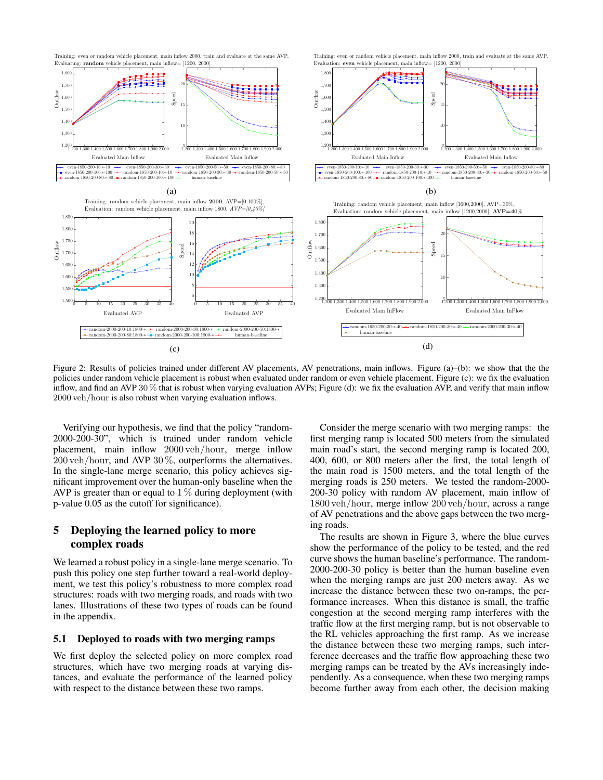<span id="page-4-0"></span>

Figure 2: Results of policies trained under different AV placements, AV penetrations, main inflows. Figure (a)–(b): we show that the the policies under random vehicle placement is robust when evaluated under random or even vehicle placement. Figure (c): we fix the evaluation inflow, and find an AVP 30 % that is robust when varying evaluation AVPs; Figure (d): we fix the evaluation AVP, and verify that main inflow 2000 veh/hour is also robust when varying evaluation inflows.

Verifying our hypothesis, we find that the policy "random-2000-200-30", which is trained under random vehicle placement, main inflow 2000 veh/hour, merge inflow 200 veh/hour, and AVP 30 %, outperforms the alternatives. In the single-lane merge scenario, this policy achieves significant improvement over the human-only baseline when the AVP is greater than or equal to  $1\%$  during deployment (with p-value 0.05 as the cutoff for significance).

# 5 Deploying the learned policy to more complex roads

We learned a robust policy in a single-lane merge scenario. To push this policy one step further toward a real-world deployment, we test this policy's robustness to more complex road structures: roads with two merging roads, and roads with two lanes. Illustrations of these two types of roads can be found in the appendix.

#### 5.1 Deployed to roads with two merging ramps

We first deploy the selected policy on more complex road structures, which have two merging roads at varying distances, and evaluate the performance of the learned policy with respect to the distance between these two ramps.

Consider the merge scenario with two merging ramps: the first merging ramp is located 500 meters from the simulated main road's start, the second merging ramp is located 200, 400, 600, or 800 meters after the first, the total length of the main road is 1500 meters, and the total length of the merging roads is 250 meters. We tested the random-2000- 200-30 policy with random AV placement, main inflow of 1800 veh/hour, merge inflow 200 veh/hour, across a range of AV penetrations and the above gaps between the two merging roads.

The results are shown in Figure [3,](#page-5-0) where the blue curves show the performance of the policy to be tested, and the red curve shows the human baseline's performance. The random-2000-200-30 policy is better than the human baseline even when the merging ramps are just 200 meters away. As we increase the distance between these two on-ramps, the performance increases. When this distance is small, the traffic congestion at the second merging ramp interferes with the traffic flow at the first merging ramp, but is not observable to the RL vehicles approaching the first ramp. As we increase the distance between these two merging ramps, such interference decreases and the traffic flow approaching these two merging ramps can be treated by the AVs increasingly independently. As a consequence, when these two merging ramps become further away from each other, the decision making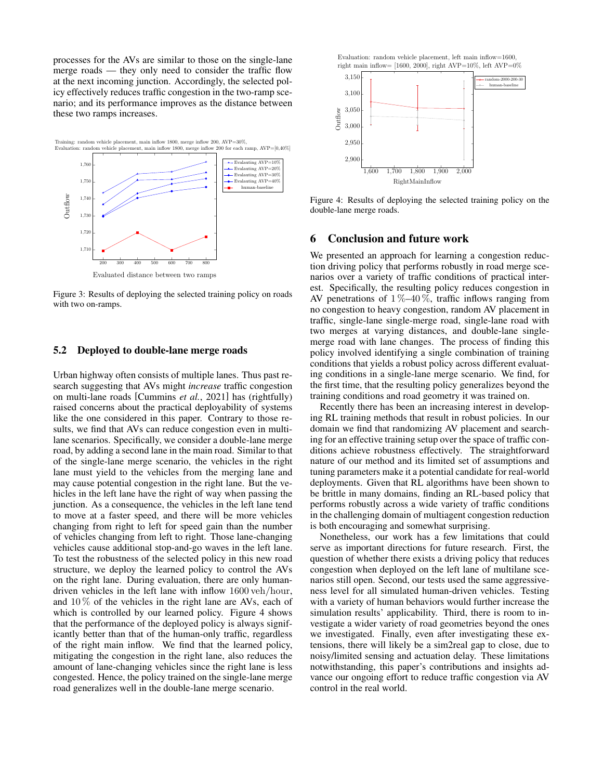processes for the AVs are similar to those on the single-lane merge roads — they only need to consider the traffic flow at the next incoming junction. Accordingly, the selected policy effectively reduces traffic congestion in the two-ramp scenario; and its performance improves as the distance between these two ramps increases.

<span id="page-5-0"></span>

Figure 3: Results of deploying the selected training policy on roads with two on-ramps.

#### 5.2 Deployed to double-lane merge roads

Urban highway often consists of multiple lanes. Thus past research suggesting that AVs might *increase* traffic congestion on multi-lane roads [\[Cummins](#page-6-4) *et al.*, 2021] has (rightfully) raised concerns about the practical deployability of systems like the one considered in this paper. Contrary to those results, we find that AVs can reduce congestion even in multilane scenarios. Specifically, we consider a double-lane merge road, by adding a second lane in the main road. Similar to that of the single-lane merge scenario, the vehicles in the right lane must yield to the vehicles from the merging lane and may cause potential congestion in the right lane. But the vehicles in the left lane have the right of way when passing the junction. As a consequence, the vehicles in the left lane tend to move at a faster speed, and there will be more vehicles changing from right to left for speed gain than the number of vehicles changing from left to right. Those lane-changing vehicles cause additional stop-and-go waves in the left lane. To test the robustness of the selected policy in this new road structure, we deploy the learned policy to control the AVs on the right lane. During evaluation, there are only humandriven vehicles in the left lane with inflow 1600 veh/hour, and  $10\%$  of the vehicles in the right lane are AVs, each of which is controlled by our learned policy. Figure [4](#page-5-1) shows that the performance of the deployed policy is always significantly better than that of the human-only traffic, regardless of the right main inflow. We find that the learned policy, mitigating the congestion in the right lane, also reduces the amount of lane-changing vehicles since the right lane is less congested. Hence, the policy trained on the single-lane merge road generalizes well in the double-lane merge scenario.

<span id="page-5-1"></span>

Figure 4: Results of deploying the selected training policy on the double-lane merge roads.

## 6 Conclusion and future work

We presented an approach for learning a congestion reduction driving policy that performs robustly in road merge scenarios over a variety of traffic conditions of practical interest. Specifically, the resulting policy reduces congestion in AV penetrations of  $1\% -40\%$ , traffic inflows ranging from no congestion to heavy congestion, random AV placement in traffic, single-lane single-merge road, single-lane road with two merges at varying distances, and double-lane singlemerge road with lane changes. The process of finding this policy involved identifying a single combination of training conditions that yields a robust policy across different evaluating conditions in a single-lane merge scenario. We find, for the first time, that the resulting policy generalizes beyond the training conditions and road geometry it was trained on.

Recently there has been an increasing interest in developing RL training methods that result in robust policies. In our domain we find that randomizing AV placement and searching for an effective training setup over the space of traffic conditions achieve robustness effectively. The straightforward nature of our method and its limited set of assumptions and tuning parameters make it a potential candidate for real-world deployments. Given that RL algorithms have been shown to be brittle in many domains, finding an RL-based policy that performs robustly across a wide variety of traffic conditions in the challenging domain of multiagent congestion reduction is both encouraging and somewhat surprising.

Nonetheless, our work has a few limitations that could serve as important directions for future research. First, the question of whether there exists a driving policy that reduces congestion when deployed on the left lane of multilane scenarios still open. Second, our tests used the same aggressiveness level for all simulated human-driven vehicles. Testing with a variety of human behaviors would further increase the simulation results' applicability. Third, there is room to investigate a wider variety of road geometries beyond the ones we investigated. Finally, even after investigating these extensions, there will likely be a sim2real gap to close, due to noisy/limited sensing and actuation delay. These limitations notwithstanding, this paper's contributions and insights advance our ongoing effort to reduce traffic congestion via AV control in the real world.